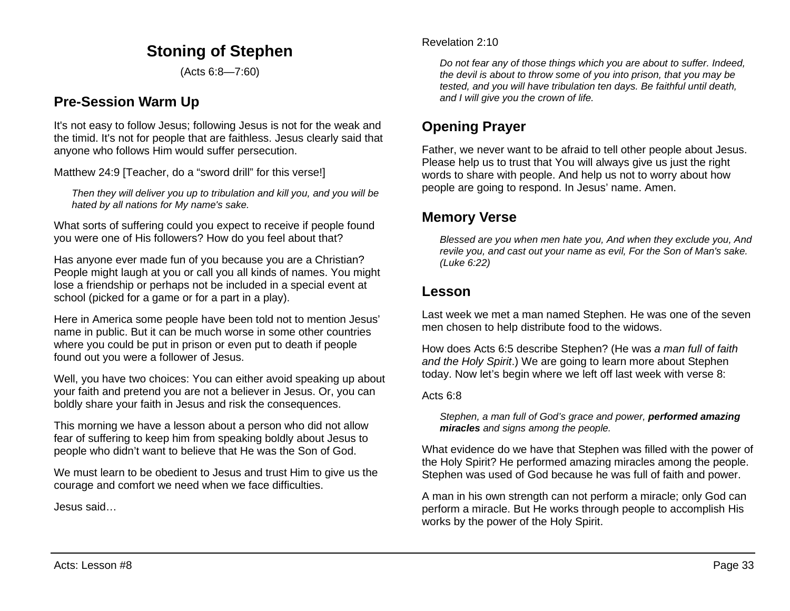# **Stoning of Stephen**

(Acts 6:8—7:60)

## **Pre-Session Warm Up**

It's not easy to follow Jesus; following Jesus is not for the weak and the timid. It's not for people that are faithless. Jesus clearly said that anyone who follows Him would suffer persecution.

Matthew 24:9 [Teacher, do a "sword drill" for this verse!]

*Then they will deliver you up to tribulation and kill you, and you will be hated by all nations for My name's sake.*

What sorts of suffering could you expect to receive if people found you were one of His followers? How do you feel about that?

Has anyone ever made fun of you because you are a Christian? People might laugh at you or call you all kinds of names. You might lose a friendship or perhaps not be included in a special event at school (picked for a game or for a part in a play).

Here in America some people have been told not to mention Jesus' name in public. But it can be much worse in some other countries where you could be put in prison or even put to death if people found out you were a follower of Jesus.

Well, you have two choices: You can either avoid speaking up about your faith and pretend you are not a believer in Jesus. Or, you can boldly share your faith in Jesus and risk the consequences.

This morning we have a lesson about a person who did not allow fear of suffering to keep him from speaking boldly about Jesus to people who didn't want to believe that He was the Son of God.

We must learn to be obedient to Jesus and trust Him to give us the courage and comfort we need when we face difficulties.

Jesus said…

#### Revelation 2:10

*Do not fear any of those things which you are about to suffer. Indeed, the devil is about to throw some of you into prison, that you may be tested, and you will have tribulation ten days. Be faithful until death, and I will give you the crown of life.*

# **Opening Prayer**

Father, we never want to be afraid to tell other people about Jesus. Please help us to trust that You will always give us just the right words to share with people. And help us not to worry about how people are going to respond. In Jesus' name. Amen.

## **Memory Verse**

*Blessed are you when men hate you, And when they exclude you, And revile you, and cast out your name as evil, For the Son of Man's sake. (Luke 6:22)*

### **Lesson**

Last week we met a man named Stephen. He was one of the seven men chosen to help distribute food to the widows.

How does Acts 6:5 describe Stephen? (He was *a man full of faith and the Holy Spirit*.) We are going to learn more about Stephen today. Now let's begin where we left off last week with verse 8:

Acts 6:8

*Stephen, a man full of God's grace and power, performed amazing miracles and signs among the people.*

What evidence do we have that Stephen was filled with the power of the Holy Spirit? He performed amazing miracles among the people. Stephen was used of God because he was full of faith and power.

A man in his own strength can not perform a miracle; only God can perform a miracle. But He works through people to accomplish His works by the power of the Holy Spirit.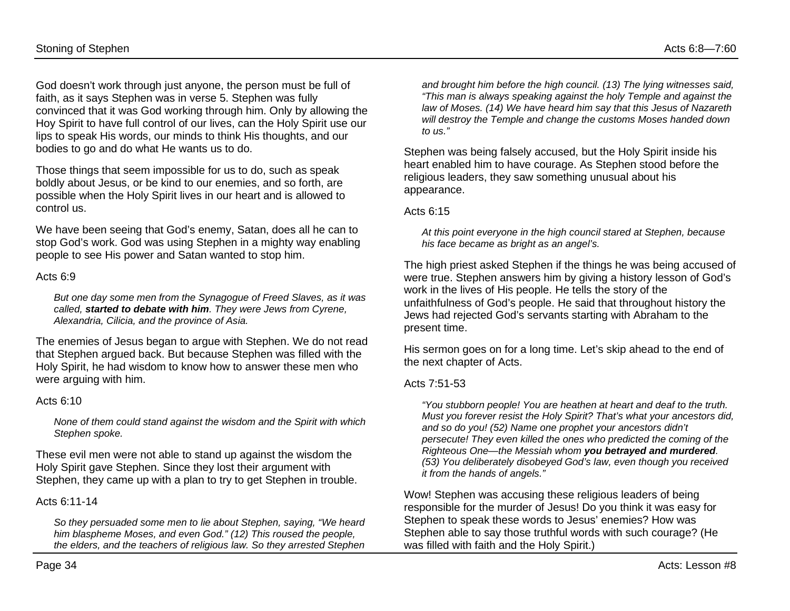Stoning of Stephen Acts 6:8—7:60

God doesn't work through just anyone, the person must be full of faith, as it says Stephen was in verse 5. Stephen was fully convinced that it was God working through him. Only by allowing the Hoy Spirit to have full control of our lives, can the Holy Spirit use our lips to speak His words, our minds to think His thoughts, and our bodies to go and do what He wants us to do.

Those things that seem impossible for us to do, such as speak boldly about Jesus, or be kind to our enemies, and so forth, are possible when the Holy Spirit lives in our heart and is allowed to control us.

We have been seeing that God's enemy, Satan, does all he can to stop God's work. God was using Stephen in a mighty way enabling people to see His power and Satan wanted to stop him.

#### Acts 6:9

*But one day some men from the Synagogue of Freed Slaves, as it was called, started to debate with him. They were Jews from Cyrene, Alexandria, Cilicia, and the province of Asia.*

The enemies of Jesus began to argue with Stephen. We do not read that Stephen argued back. But because Stephen was filled with the Holy Spirit, he had wisdom to know how to answer these men who were arguing with him.

#### Acts  $6:10$

*None of them could stand against the wisdom and the Spirit with which Stephen spoke.*

These evil men were not able to stand up against the wisdom the Holy Spirit gave Stephen. Since they lost their argument with Stephen, they came up with a plan to try to get Stephen in trouble.

Acts 6:11-14

*So they persuaded some men to lie about Stephen, saying, "We heard him blaspheme Moses, and even God." (12) This roused the people, the elders, and the teachers of religious law. So they arrested Stephen*

*and brought him before the high council. (13) The lying witnesses said, "This man is always speaking against the holy Temple and against the law of Moses. (14) We have heard him say that this Jesus of Nazareth will destroy the Temple and change the customs Moses handed down to us."*

Stephen was being falsely accused, but the Holy Spirit inside his heart enabled him to have courage. As Stephen stood before the religious leaders, they saw something unusual about his appearance.

#### Acts 6:15

*At this point everyone in the high council stared at Stephen, because his face became as bright as an angel's.*

The high priest asked Stephen if the things he was being accused of were true. Stephen answers him by giving a history lesson of God's work in the lives of His people. He tells the story of the unfaithfulness of God's people. He said that throughout history the Jews had rejected God's servants starting with Abraham to the present time.

His sermon goes on for a long time. Let's skip ahead to the end of the next chapter of Acts.

#### Acts 7:51-53

*"You stubborn people! You are heathen at heart and deaf to the truth. Must you forever resist the Holy Spirit? That's what your ancestors did, and so do you! (52) Name one prophet your ancestors didn't persecute! They even killed the ones who predicted the coming of the Righteous One—the Messiah whom you betrayed and murdered. (53) You deliberately disobeyed God's law, even though you received it from the hands of angels."*

Wow! Stephen was accusing these religious leaders of being responsible for the murder of Jesus! Do you think it was easy for Stephen to speak these words to Jesus' enemies? How was Stephen able to say those truthful words with such courage? (He was filled with faith and the Holy Spirit.)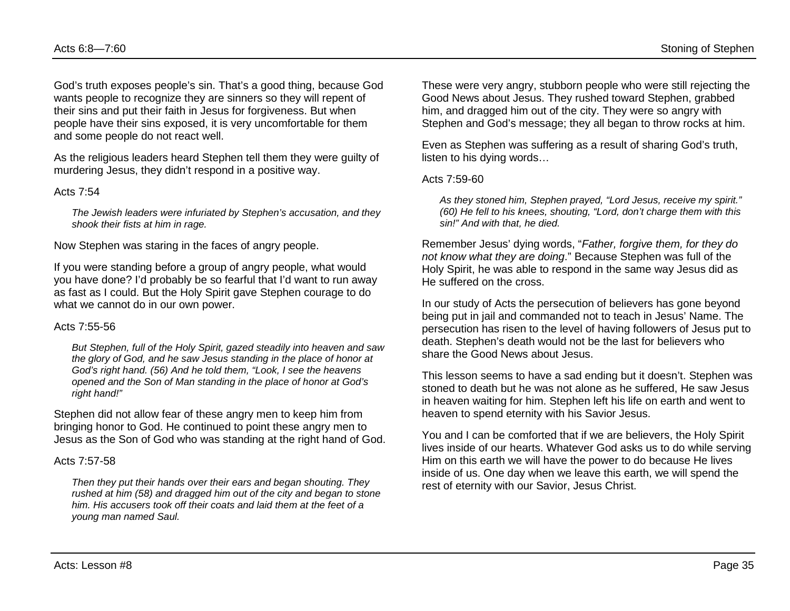God's truth exposes people's sin. That's a good thing, because God wants people to recognize they are sinners so they will repent of their sins and put their faith in Jesus for forgiveness. But when people have their sins exposed, it is very uncomfortable for them and some people do not react well.

As the religious leaders heard Stephen tell them they were guilty of murdering Jesus, they didn't respond in a positive way.

#### Acts 7:54

*The Jewish leaders were infuriated by Stephen's accusation, and they shook their fists at him in rage.*

Now Stephen was staring in the faces of angry people.

If you were standing before a group of angry people, what would you have done? I'd probably be so fearful that I'd want to run away as fast as I could. But the Holy Spirit gave Stephen courage to do what we cannot do in our own power.

#### Acts 7:55-56

*But Stephen, full of the Holy Spirit, gazed steadily into heaven and saw the glory of God, and he saw Jesus standing in the place of honor at God's right hand. (56) And he told them, "Look, I see the heavens opened and the Son of Man standing in the place of honor at God's right hand!"*

Stephen did not allow fear of these angry men to keep him from bringing honor to God. He continued to point these angry men to Jesus as the Son of God who was standing at the right hand of God.

#### Acts 7:57-58

*Then they put their hands over their ears and began shouting. They rushed at him (58) and dragged him out of the city and began to stone him. His accusers took off their coats and laid them at the feet of a young man named Saul.*

These were very angry, stubborn people who were still rejecting the Good News about Jesus. They rushed toward Stephen, grabbed him, and dragged him out of the city. They were so angry with Stephen and God's message; they all began to throw rocks at him.

Even as Stephen was suffering as a result of sharing God's truth, listen to his dying words…

#### Acts 7:59-60

*As they stoned him, Stephen prayed, "Lord Jesus, receive my spirit." (60) He fell to his knees, shouting, "Lord, don't charge them with this sin!" And with that, he died.*

Remember Jesus' dying words, "*Father, forgive them, for they do not know what they are doing*." Because Stephen was full of the Holy Spirit, he was able to respond in the same way Jesus did as He suffered on the cross.

In our study of Acts the persecution of believers has gone beyond being put in jail and commanded not to teach in Jesus' Name. The persecution has risen to the level of having followers of Jesus put to death. Stephen's death would not be the last for believers who share the Good News about Jesus.

This lesson seems to have a sad ending but it doesn't. Stephen was stoned to death but he was not alone as he suffered, He saw Jesus in heaven waiting for him. Stephen left his life on earth and went to heaven to spend eternity with his Savior Jesus.

You and I can be comforted that if we are believers, the Holy Spirit lives inside of our hearts. Whatever God asks us to do while serving Him on this earth we will have the power to do because He lives inside of us. One day when we leave this earth, we will spend the rest of eternity with our Savior, Jesus Christ.